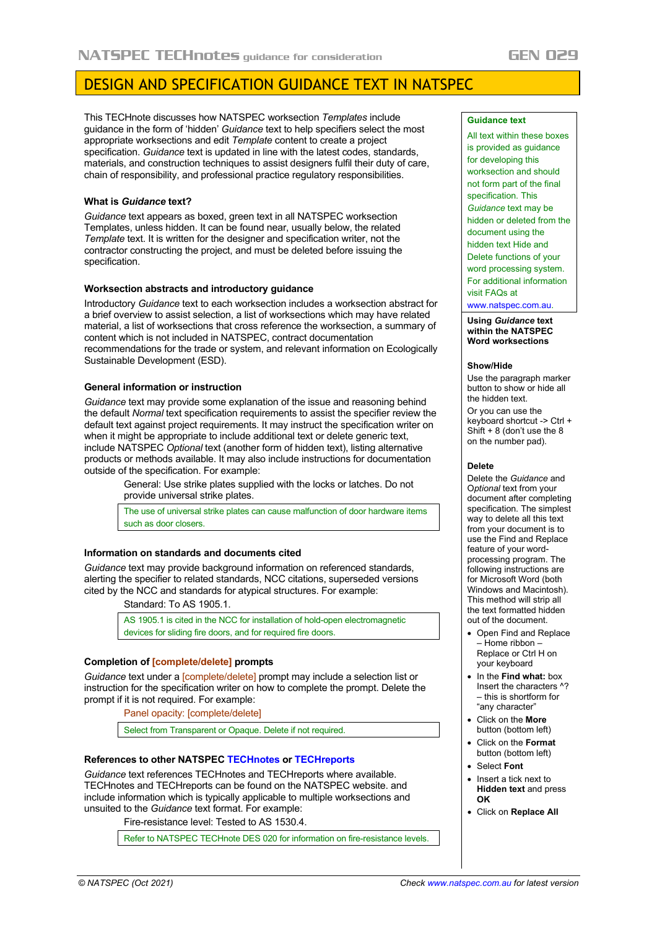# DESIGN AND SPECIFICATION GUIDANCE TEXT IN NATSPEC

This TECHnote discusses how NATSPEC worksection *Templates* include guidance in the form of 'hidden' *Guidance* text to help specifiers select the most appropriate worksections and edit *Template* content to create a project specification. *Guidance* text is updated in line with the latest codes, standards, materials, and construction techniques to assist designers fulfil their duty of care, chain of responsibility, and professional practice regulatory responsibilities.

## **What is** *Guidance* **text?**

*Guidance* text appears as boxed, green text in all NATSPEC worksection Templates, unless hidden. It can be found near, usually below, the related *Template* text. It is written for the designer and specification writer, not the contractor constructing the project, and must be deleted before issuing the specification.

## **Worksection abstracts and introductory guidance**

Introductory *Guidance* text to each worksection includes a worksection abstract for a brief overview to assist selection, a list of worksections which may have related material, a list of worksections that cross reference the worksection, a summary of content which is not included in NATSPEC, contract documentation recommendations for the trade or system, and relevant information on Ecologically Sustainable Development (ESD).

## **General information or instruction**

*Guidance* text may provide some explanation of the issue and reasoning behind the default *Normal* text specification requirements to assist the specifier review the default text against project requirements. It may instruct the specification writer on when it might be appropriate to include additional text or delete generic text, include NATSPEC *Optional* text (another form of hidden text), listing alternative products or methods available. It may also include instructions for documentation outside of the specification. For example:

> General: Use strike plates supplied with the locks or latches. Do not provide universal strike plates.

The use of universal strike plates can cause malfunction of door hardware items such as door closers.

# **Information on standards and documents cited**

*Guidance* text may provide background information on referenced standards, alerting the specifier to related standards, NCC citations, superseded versions cited by the NCC and standards for atypical structures. For example:

Standard: To AS 1905.1.

AS 1905.1 is cited in the NCC for installation of hold-open electromagnetic devices for sliding fire doors, and for required fire doors.

# **Completion of [complete/delete] prompts**

*Guidance* text under a *complete/delete*] prompt may include a selection list or instruction for the specification writer on how to complete the prompt. Delete the prompt if it is not required. For example:

Panel opacity: [complete/delete]

Select from Transparent or Opaque. Delete if not required.

# **References to other NATSPEC [TECHnotes](https://www.natspec.com.au/resources/technotes) or [TECHreports](https://www.natspec.com.au/resources/techreport)**

*Guidance* text references TECHnotes and TECHreports where available. TECHnotes and TECHreports can be found on the NATSPEC website. and include information which is typically applicable to multiple worksections and unsuited to the *Guidance* text format. For example:

Fire-resistance level: Tested to AS 1530.4.

Refer to NATSPEC TECHnote DES 020 for information on fire-resistance levels.

#### **Guidance text**

All text within these boxes is provided as guidance for developing this worksection and should not form part of the final specification. This *Guidance* text may be hidden or deleted from the document using the hidden text Hide and Delete functions of your word processing system. For additional information visit FAQs at

[www.natspec.com.au.](https://www.natspec.com.au/)

**Using** *Guidance* **text within the NATSPEC Word worksections**

#### **Show/Hide**

Use the paragraph marker button to show or hide all the hidden text.

Or you can use the keyboard shortcut -> Ctrl + Shift + 8 (don't use the 8 on the number pad).

#### **Delete**

Delete the *Guidance* and O*ptional* text from your document after completing specification. The simplest way to delete all this text from your document is to use the Find and Replace feature of your wordprocessing program. The following instructions are for Microsoft Word (both Windows and Macintosh). This method will strip all the text formatted hidden out of the document.

- Open Find and Replace – Home ribbon – Replace or Ctrl H on your keyboard
- In the **Find what:** box Insert the characters ^? – this is shortform for "any character"
- Click on the **More** button (bottom left)
- Click on the **Format** button (bottom left)
- Select **Font**
- Insert a tick next to **Hidden text** and press **OK**
- Click on **Replace All**